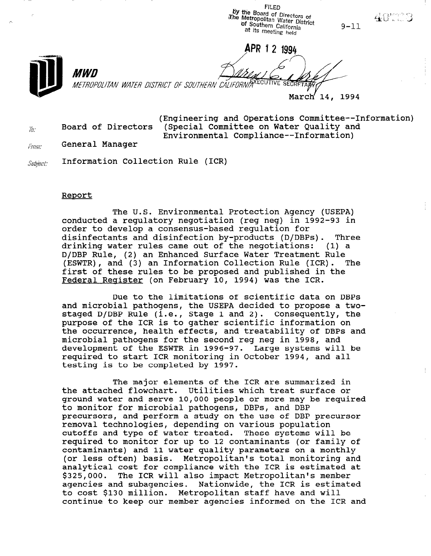FILED by the Board of Directors of The Metropolitan Water District at its meeting held of Southern California

APR 1 2 1994

 $9 - 11$ 

400000



*MWD* METROPOLITAN WATER DISTRICT OF SOUTHERN CALIFORNIA<sup>XECUTIVE</sup> SECRET.

March 14, 1994

(Engineering and Operations Committee--Information)  $\bar{y}_{\bar{a}}$  Board of Directors (Special Committee on Water Quality and Environmental Compliance--Information)

 $f_{T\!{\it DITI}}$  . General Manager

 $$x$$  diviest: Information Collection Rule (ICR)

## Report

The U.S. Environmental Protection Agency (USEPA) conducted a regulatory negotiation (reg neg) in 1992-93 in order to develop a consensus-based regulation for disinfectants and disinfection by-products (D/DBPs). Three drinking water rules came out of the negotiations: (1) a D/DBP Rule, (2) an Enhanced Surface Water Treatment Rule (ESWTR), and (3) an Information Collection Rule (ICR). The first of these rules to be proposed and published in the Federal Register (on February 10, 1994) was the ICR.

Due to the limitations of scientific data on DBPs and microbial pathogens, the USEPA decided to propose a twostaged D/DBP Rule (i.e., Stage 1 and 2). Consequently, the purpose of the ICR is to gather scientific information on the occurrence, health effects, and treatability of DBPs and microbial pathogens for the second reg neg in 1998, and development of the ESWTR in 1996-97. Large systems will be required to start ICR monitoring in October 1994, and all testing is to be completed by 1997.

The major elements of the ICR are summarized in the attached flowchart. Utilities which treat surface or ground water and serve 10,000 people or more may be required to monitor for microbial pathogens, DBPs, and DBP precursors, and perform a study on the use of DBP precursor precursors, and perform a study on the use of DDP j removal technologies, depending on various population<br>cutoffs and type of water treated. These systems will be cutoris and type of water treated. These systems will be<br>required to monitor for up to 12 contaminants (or family of contaminants) and 11 water quality parameters on a monthly contaminants) and 11 water quality parameters on a monthly (or less often) basis. Metropolitan's total monitoring and analytical cost for compliance with the ICR is estimated at \$325,000. The ICR will also impact Metropolitan's member agencies and subagencies. Nationwide, the ICR is estimated to cost \$130 million. Metropolitan staff have and will<br>continue to keep our member agencies informed on the ICR and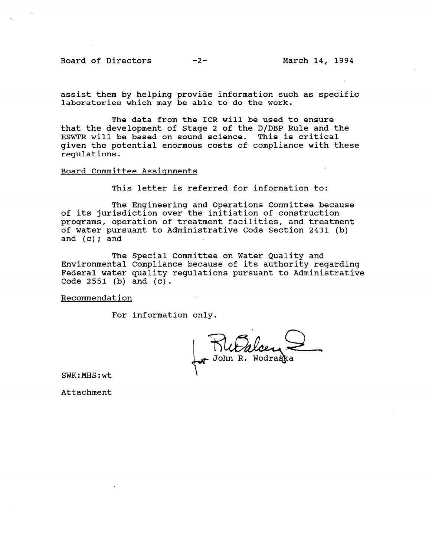Board of Directors -2- March 14, 1994

assist them by helping provide information such as specific laboratories which may be able to do the work.

The data from the ICR will be used to ensure that the development of Stage 2 of the D/DBP Rule and the ESWTR will be based on sound science. This is critical given the potential enormous costs of compliance with these regulations.

Board Committee Assignments

This letter is referred for information to:

The Engineering and Operations Committee because of its jurisdiction over the initiation of construction programs, operation of treatment facilities, and treatment of water pursuant to Administrative Code Section 2431 (b) and (c); and

The Special Committee on Water Quality and Environmental Compliance because of its authority regarding Federal water quality regulations pursuant to Administrative Code  $2551$  (b) and (c).

Recommendation

For information only.

John R. Wodrast

SWK:MHS:wt

Attachment